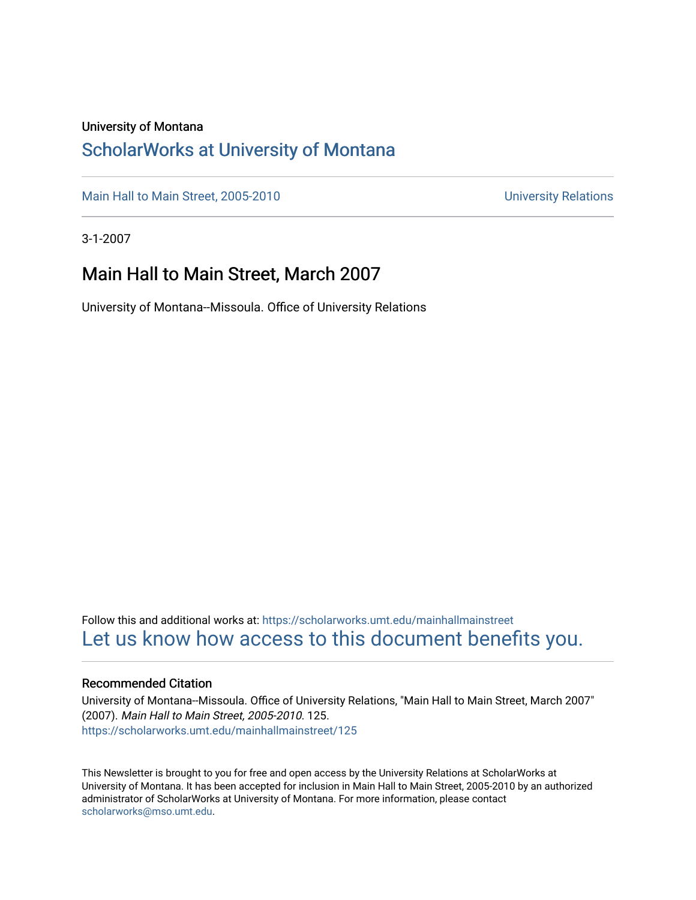#### University of Montana

### [ScholarWorks at University of Montana](https://scholarworks.umt.edu/)

[Main Hall to Main Street, 2005-2010](https://scholarworks.umt.edu/mainhallmainstreet) Main Hall to Main Street, 2005-2010

3-1-2007

### Main Hall to Main Street, March 2007

University of Montana--Missoula. Office of University Relations

Follow this and additional works at: [https://scholarworks.umt.edu/mainhallmainstreet](https://scholarworks.umt.edu/mainhallmainstreet?utm_source=scholarworks.umt.edu%2Fmainhallmainstreet%2F125&utm_medium=PDF&utm_campaign=PDFCoverPages) [Let us know how access to this document benefits you.](https://goo.gl/forms/s2rGfXOLzz71qgsB2) 

#### Recommended Citation

University of Montana--Missoula. Office of University Relations, "Main Hall to Main Street, March 2007" (2007). Main Hall to Main Street, 2005-2010. 125. [https://scholarworks.umt.edu/mainhallmainstreet/125](https://scholarworks.umt.edu/mainhallmainstreet/125?utm_source=scholarworks.umt.edu%2Fmainhallmainstreet%2F125&utm_medium=PDF&utm_campaign=PDFCoverPages)

This Newsletter is brought to you for free and open access by the University Relations at ScholarWorks at University of Montana. It has been accepted for inclusion in Main Hall to Main Street, 2005-2010 by an authorized administrator of ScholarWorks at University of Montana. For more information, please contact [scholarworks@mso.umt.edu.](mailto:scholarworks@mso.umt.edu)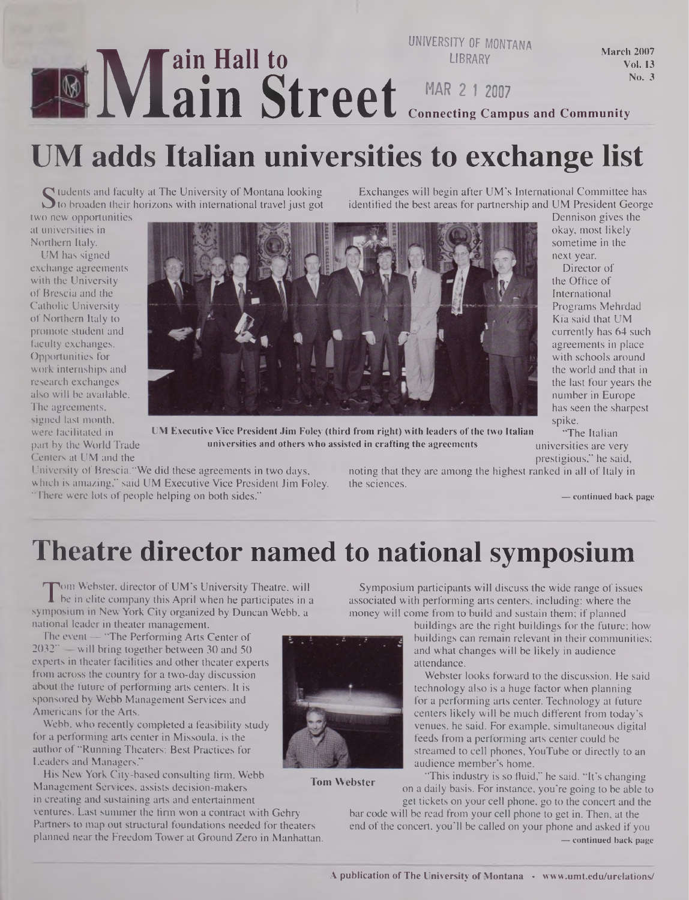#### **M**<br>adds It **ain Hall to ain Street UNIVERSITY OF MONTANA LIBRARY MAR 2 <sup>1</sup> 2007 Connecting Campus and Community** March 2007 Vol. 13 No. 3

# **UM adds Italian universities to exchange list**

Sudents and faculty at The University of Montana looking<br>To broaden their horizons with international travel just got

two new opportunities at universities in Northern Italy.

UM has signed exchange agreements with the University of Brescia and the Catholic University of Northern Italy to promote student and faculty exchanges. Opportunities for work internships and research exchanges also will be available. The agreements, signed last month, were facilitated in



UM Executive Vice President Jim Foley (third from right) with leaders of the two Italian The Italian part by the World Trade universities and others who assisted in crafting the agreements universities are very

Centers at UM and the<br>
University of Brescia. "We did these agreements in two days, hoting that they are among the highest ranked in all of Italy in which is amazing," said UM Executive Vice President Jim Foley. the sciences. "There were lots of people helping on both sides." **— continued back page**

noting that they are among the highest ranked in all of Italy in

Exchanges will begin after UM's International Committee has identified the best areas for partnership and UM President George

spike.

Dennison gives the okay, most likely sometime in the next year. Director of the Office of International Programs Mehrdad Kia said that UM currently has 64 such agreements in place with schools around

### **Theatre director named to national symposium**

**Tom Webster**

The in elite company this April when he participates in a<br>mposium in New York City organized by Duncan Webb, a om Webster, director of UM's University Theatre, will be in elite company this April when he participates in a national leader in theater management.

The event — "The Performing Arts Center of 2032" — will bring together between 30 and 50 experts in theater facilities and other theater experts from across the country for a two-day discussion about the future of performing arts centers. It is sponsored by Webb Management Services and Americans for the Arts.

Webb, who recently completed a feasibility study for a performing arts center in Missoula, is the author of "Running Theaters: Best Practices for Leaders and Managers."

His New York City-based consulting firm, Webb Management Services, assists decision-makers in creating and sustaining arts and entertainment

ventures. Last summer the firm won a contract with Gehry Partners to map out structural foundations needed for theaters planned near the Freedom Tower at Ground Zero in Manhattan.



buildings are the right buildings for the future; how buildings can remain relevant in their communities; and what changes will be likely in audience attendance.

Webster looks forward to the discussion. He said technology also is a huge factor when planning for a performing arts center. Technology at future centers likely will be much different from today's venues, he said. For example, simultaneous digital feeds from a performing arts center could be streamed to cell phones, YouTube or directly to an audience member's home.

"This industry is so fluid," he said. "It's changing on a daily basis. For instance, you're going to be able to

get tickets on your cell phone, go to the concert and the bar code will be read from your cell phone to get in. Then, at the end of the concert, you'll be called on your phone and asked if you **— continued back page**

#### the world and that in the last four years the number in Europe has seen the sharpest

#### A publication of The University of Montana • [www.umt.edu/urelations/](http://www.umt.edu/urelations/)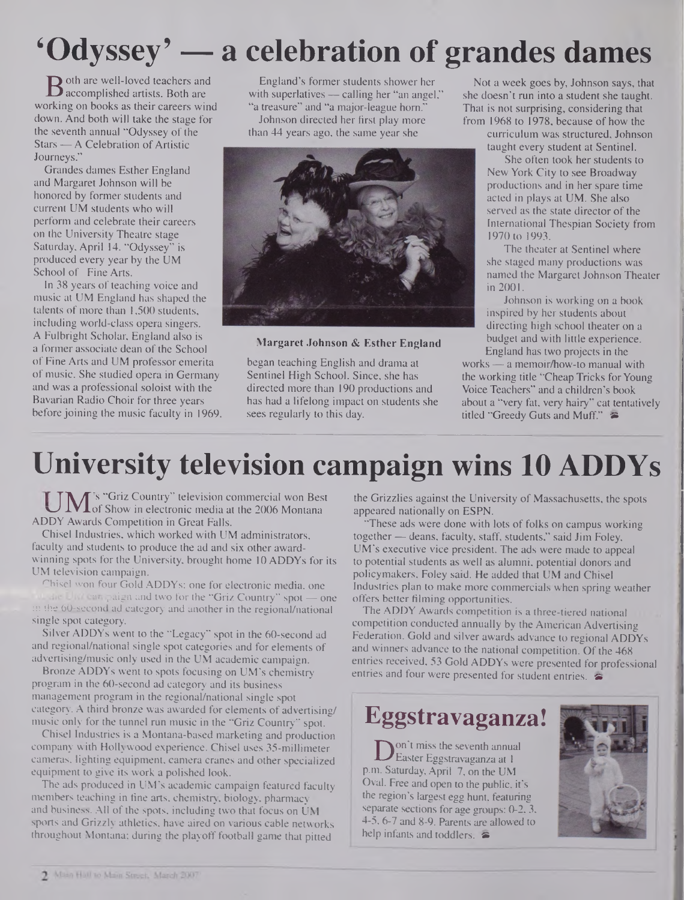# **'Odyssey' — a celebration of grandes dames**

**B** oth are well-loved teachers and<br>accomplished artists. Both are<br>orking on books as their careers win accomplished artists. Both are working on books as their careers wind down. And both will take the stage for the seventh annual "Odyssey of the Stars — A Celebration of Artistic Journeys."

Grandes dames Esther England and Margaret Johnson will be honored by former students and current UM students who will perform and celebrate their careers on the University Theatre stage Saturday, April 14. "Odyssey" is produced every year by the UM School of Fine Arts.

In 38 years of teaching voice and music at UM England has shaped the talents of more than 1,500 students, including world-class opera singers. A Fulbright Scholar, England also is a former associate dean of the School of Fine Arts and UM professor emerita of music. She studied opera in Germany and was a professional soloist with the Bavarian Radio Choir for three years before joining the music faculty in 1969.

England's former students shower her with superlatives — calling her "an angel," "a treasure" and "a major-league horn." Johnson directed her first play more

than 44 years ago, the same year she



#### **Margaret Johnson & Esther England**

began teaching English and drama at Sentinel High School. Since, she has directed more than 190 productions and has had a lifelong impact on students she sees regularly to this day.

Not a week goes by, Johnson says, that she doesn't run into a student she taught. That is not surprising, considering that from 1968 to 1978, because of how the

curriculum was structured, Johnson taught every student at Sentinel.

She often took her students to New York City to see Broadway productions and in her spare time acted in plays at UM. She also served as the state director of the International Thespian Society from 1970 to 1993.

The theater at Sentinel where she staged many productions was named the Margaret Johnson Theater in 2001.

Johnson is working on a book inspired by her students about directing high school theater on a budget and with little experience. England has two projects in the

works — a memoir/how-to manual with the working title "Cheap Tricks for Young Voice Teachers" and a children's book about a "very fat, very hairy" cat tentatively titled "Greedy Guts and Muff."

## **University television campaign wins 10 ADDYs**

 $UM$ 's "Griz Country" television commercial won Best<br>UM of Show in electronic media at the 2006 Montana ADDY Awards Competition in Great Falls.

Chisel Industries, which worked with UM administrators, faculty and students to produce the ad and six other awardwinning spots for the University, brought home 10 ADDYs for its UM television campaign.

Chisel won four Gold ADDYs: one for electronic media, one the United paign and two for the "Griz Country" spot - one in the 60-second ad category and another in the regional/national single spot category.

Silver ADDYs went to the "Legacy" spot in the 60-second ad and regional/national single spot categories and for elements of advertising/music only used in the UM academic campaign.

Bronze ADDYs went to spots focusing on UM's chemistry program in the 60-second ad category and its business management program in the regional/national single spot category. A third bronze was awarded for elements of advertising/ music only for the tunnel run music in the "Griz Country" spot.

Chisel Industries is a Montana-based marketing and production company with Hollywood experience. Chisel uses 35-millimeter cameras, lighting equipment, camera cranes and other specialized equipment to give its work a polished look.

The ads produced in UM's academic campaign featured faculty members teaching in fine arts, chemistry, biology, pharmacy and business. All of the spots, including two that focus on UM sports and Grizzly athletics, have aired on various cable networks throughout Montana; during the playoff football game that pitted

the Grizzlies against the University of Massachusetts, the spots appeared nationally on ESPN.

"These ads were done with lots of folks on campus working together — deans, faculty, staff, students," said Jim Foley, UM's executive vice president. The ads were made to appeal to potential students as well as alumni, potential donors and policymakers, Foley said. He added that UM and Chisel Industries plan to make more commercials when spring weather offers better filming opportunities.

The ADDY Awards competition is a three-tiered national competition conducted annually by the American Advertising Federation. Gold and silver awards advance to regional ADDYs and winners advance to the national competition. Of the 468 entries received, 53 Gold ADDYs were presented for professional entries and four were presented for student entries.

### **Eggstravaganza!**

Don Umiss the seventh annua<br>
p.m. Saturday, April 7, on the UM on't miss the seventh annual Easter Eggstravaganza at <sup>1</sup> Oval. Free and open to the public, it's the region's largest egg hunt, featuring separate sections for age groups: 0-2, 3, 4-5,6-7 and 8-9. Parents are allowed to help infants and toddlers.  $\approx$ 

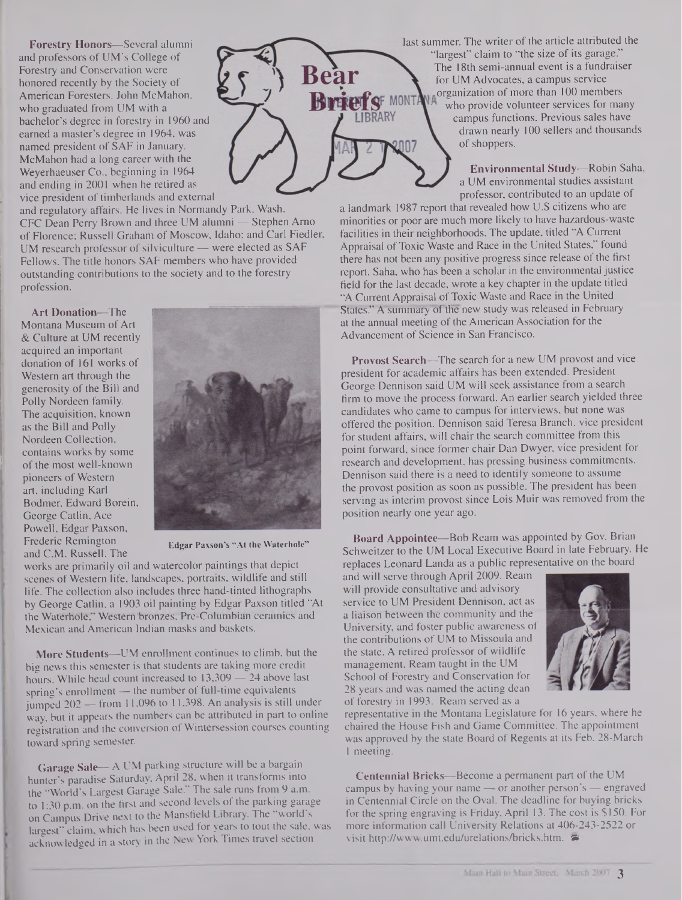**Forestry Honors—**Several alumni and professors of UM's College of Forestry and Conservation were honored recently by the Society of American Foresters. John McMahon, who graduated from UM with a bachelor's degree in forestry in 1960 and earned a master's degree in 1964, was named president of SAF in January. McMahon had a long career with the Weyerhaeuser Co., beginning in 1964 and ending in 2001 when he retired as vice president of timberlands and external

and regulatory affairs. He lives in Normandy Park, Wash. CFC Dean Perry Brown and three UM alumni — Stephen Arno of Florence; Russell Graham of Moscow, Idaho; and Carl Fiedler, UM research professor of silviculture — were elected as SAF Fellows. The title honors SAF members who have provided outstanding contributions to the society and to the forestry profession.

**Art Donation—**The Montana Museum of Art & Culture at UM recently acquired an important donation of 161 works of Western art through the generosity of the Bill and Polly Nordeen family. The acquisition, known as the Bill and Polly Nordeen Collection, contains works by some of the most well-known pioneers of Western art, including Karl Bodmer, Edward Borein, George Catlin, Ace Powell, Edgar Paxson, Frederic Remington and C.M. Russell. The



**Bea** 

**IBRARY** 

**Edgar Paxson's "At the Waterhole"**

works are primarily oil and watercolor paintings that depict scenes of Western life, landscapes, portraits, wildlife and still life. The collection also includes three hand-tinted lithographs by George Catlin, a 1903 oil painting by Edgar Paxson titled "At the Waterhole," Western bronzes, Pre-Columbian ceramics and Mexican and American Indian masks and baskets.

**More Students—UM** enrollment continues to climb, but the big news this semester is that students are taking more credit hours. While head count increased to 13,309 — 24 above last spring's enrollment — the number of full-time equivalents jumped 202 — from 11,096 to 11,398. An analysis is still under way, but it appears the numbers can be attributed in part to online registration and the conversion of Wintersession courses counting toward spring semester.

**Garage Sale—**A UM parking structure will be a bargain hunter's paradise Saturday, April 28, when it transforms into the "World's Largest Garage Sale." The sale runs from 9 a.m. to 1:30 p.m. on the first and second levels of the parking garage on Campus Drive next to the Mansfield Library. The "world's largest" claim, which has been used for years to tout the sale, was acknowledged in a story in the New York Times travel section

last summer. The writer of the article attributed the "largest" claim to "the size of its garage." The 18th semi-annual event is a fundraiser for UM Advocates, a campus service organization of more than 100 members **BriefsF MONTA** who provide volunteer services for many campus functions. Previous sales have drawn nearly 100 sellers and thousands of shoppers.

> **Environmental Study—**Robin Saha, a UM environmental studies assistant professor, contributed to an update of

a landmark 1987 report that revealed how U.S citizens who are minorities or poor are much more likely to have hazardous-waste facilities in their neighborhoods. The update, titled "A Current Appraisal of Toxic Waste and Race in the United States," found there has not been any positive progress since release of the first report. Saha, who has been a scholar in the environmental justice field for the last decade, wrote a key chapter in the update titled "A Current Appraisal of Toxic Waste and Race in the United States." A summary of the new study was released in February at the annual meeting of the American Association for the Advancement of Science in San Francisco.

**Provost Search—**The search for a new UM provost and vice president for academic affairs has been extended. President George Dennison said UM will seek assistance from a search firm to move the process forward. An earlier search yielded three candidates who came to campus for interviews, but none was offered the position. Dennison said Teresa Branch, vice president for student affairs, will chair the search committee from this point forward, since former chair Dan Dwyer, vice president for research and development, has pressing business commitments. Dennison said there is a need to identify someone to assume the provost position as soon as possible. The president has been serving as interim provost since Lois Muir was removed from the position nearly one year ago.

**Board Appointee—**Bob Ream was appointed by Gov. Brian Schweitzer to the UM Local Executive Board in late February. He replaces Leonard Landa as a public representative on the board

and will serve through April 2009. Ream will provide consultative and advisory service to UM President Dennison, act as a liaison between the community and the University, and foster public awareness of the contributions of UM to Missoula and the state. A retired professor of wildlife management, Ream taught in the UM School of Forestry and Conservation for 28 years and was named the acting dean of forestry in 1993. Ream served as a



representative in the Montana Legislature for 16 years, where he chaired the House Fish and Game Committee. The appointment was approved by the state Board of Regents at its Feb. 28-March <sup>1</sup> meeting.

**Centennial Bricks-Become a permanent part of the UM** campus by having your name — or another person's — engraved in Centennial Circle on the Oval. The deadline for buying bricks for the spring engraving is Friday, April 13. The cost is SI50. For more information call University Relations at 406-243-2522 or visit <http://www.umt.edu/urelations/bricks.htm>.  $\approx$